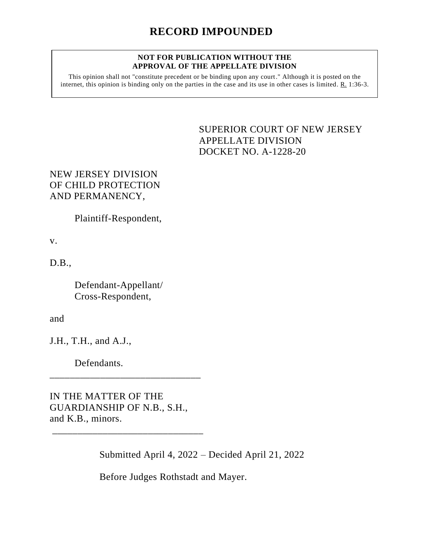## **NOT FOR PUBLICATION WITHOUT THE APPROVAL OF THE APPELLATE DIVISION**

This opinion shall not "constitute precedent or be binding upon any court." Although it is posted on the internet, this opinion is binding only on the parties in the case and its use in other cases is limited. R. 1:36-3.

> <span id="page-0-0"></span>SUPERIOR COURT OF NEW JERSEY APPELLATE DIVISION DOCKET NO. A-1228-20

## NEW JERSEY DIVISION OF CHILD PROTECTION AND PERMANENCY,

Plaintiff-Respondent,

v.

D.B.,

Defendant-Appellant/ Cross-Respondent,

and

J.H., T.H., and A.J.,

Defendants.

IN THE MATTER OF THE GUARDIANSHIP OF N.B., S.H., and K.B., minors.

\_\_\_\_\_\_\_\_\_\_\_\_\_\_\_\_\_\_\_\_\_\_\_\_\_\_\_\_\_\_

\_\_\_\_\_\_\_\_\_\_\_\_\_\_\_\_\_\_\_\_\_\_\_\_\_\_\_\_\_\_

Submitted April 4, 2022 – Decided April 21, 2022

Before Judges Rothstadt and Mayer.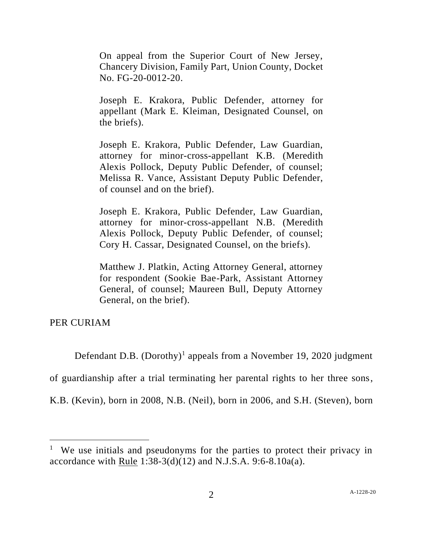On appeal from the Superior Court of New Jersey, Chancery Division, Family Part, Union County, Docket No. FG-20-0012-20.

Joseph E. Krakora, Public Defender, attorney for appellant (Mark E. Kleiman, Designated Counsel, on the briefs).

Joseph E. Krakora, Public Defender, Law Guardian, attorney for minor-cross-appellant K.B. (Meredith Alexis Pollock, Deputy Public Defender, of counsel; Melissa R. Vance, Assistant Deputy Public Defender, of counsel and on the brief).

Joseph E. Krakora, Public Defender, Law Guardian, attorney for minor-cross-appellant N.B. (Meredith Alexis Pollock, Deputy Public Defender, of counsel; Cory H. Cassar, Designated Counsel, on the briefs).

Matthew J. Platkin, Acting Attorney General, attorney for respondent (Sookie Bae-Park, Assistant Attorney General, of counsel; Maureen Bull, Deputy Attorney General, on the brief).

PER CURIAM

Defendant D.B.  $(Dorothy)^1$  appeals from a November 19, 2020 judgment

of guardianship after a trial terminating her parental rights to her three sons,

K.B. (Kevin), born in 2008, N.B. (Neil), born in 2006, and S.H. (Steven), born

<sup>&</sup>lt;sup>1</sup> We use initials and pseudonyms for the parties to protect their privacy in accordance with Rule  $1:38-3(d)(12)$  and N.J.S.A. 9:6-8.10a(a).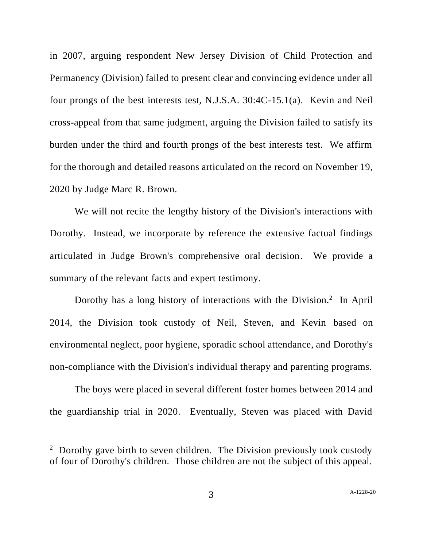in 2007, arguing respondent New Jersey Division of Child Protection and Permanency (Division) failed to present clear and convincing evidence under all four prongs of the best interests test, N.J.S.A. 30:4C-15.1(a). Kevin and Neil cross-appeal from that same judgment, arguing the Division failed to satisfy its burden under the third and fourth prongs of the best interests test. We affirm for the thorough and detailed reasons articulated on the record on November 19, 2020 by Judge Marc R. Brown.

We will not recite the lengthy history of the Division's interactions with Dorothy. Instead, we incorporate by reference the extensive factual findings articulated in Judge Brown's comprehensive oral decision. We provide a summary of the relevant facts and expert testimony.

Dorothy has a long history of interactions with the Division.<sup>2</sup> In April 2014, the Division took custody of Neil, Steven, and Kevin based on environmental neglect, poor hygiene, sporadic school attendance, and Dorothy's non-compliance with the Division's individual therapy and parenting programs.

The boys were placed in several different foster homes between 2014 and the guardianship trial in 2020. Eventually, Steven was placed with David

<sup>&</sup>lt;sup>2</sup> Dorothy gave birth to seven children. The Division previously took custody of four of Dorothy's children. Those children are not the subject of this appeal.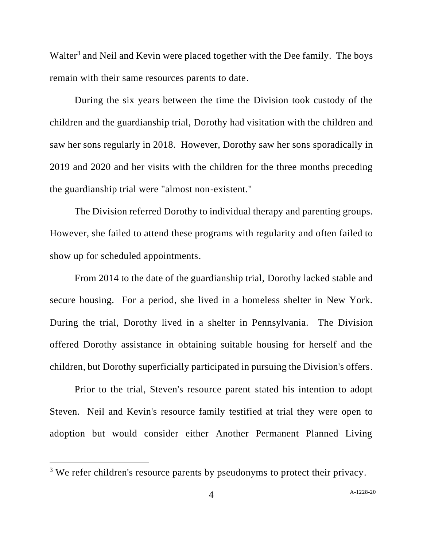Walter<sup>3</sup> and Neil and Kevin were placed together with the Dee family. The boys remain with their same resources parents to date.

During the six years between the time the Division took custody of the children and the guardianship trial, Dorothy had visitation with the children and saw her sons regularly in 2018. However, Dorothy saw her sons sporadically in 2019 and 2020 and her visits with the children for the three months preceding the guardianship trial were "almost non-existent."

The Division referred Dorothy to individual therapy and parenting groups. However, she failed to attend these programs with regularity and often failed to show up for scheduled appointments.

From 2014 to the date of the guardianship trial, Dorothy lacked stable and secure housing. For a period, she lived in a homeless shelter in New York. During the trial, Dorothy lived in a shelter in Pennsylvania. The Division offered Dorothy assistance in obtaining suitable housing for herself and the children, but Dorothy superficially participated in pursuing the Division's offers.

Prior to the trial, Steven's resource parent stated his intention to adopt Steven. Neil and Kevin's resource family testified at trial they were open to adoption but would consider either Another Permanent Planned Living

<sup>&</sup>lt;sup>3</sup> We refer children's resource parents by pseudonyms to protect their privacy.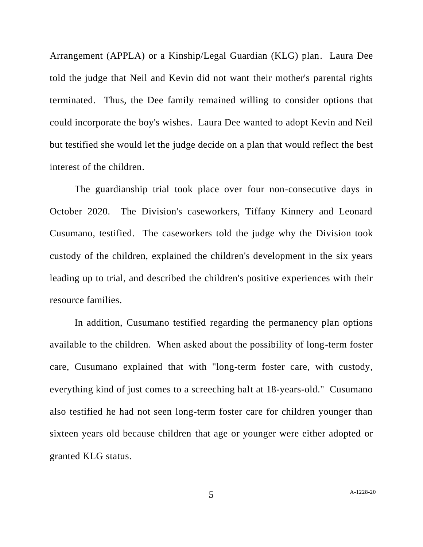Arrangement (APPLA) or a Kinship/Legal Guardian (KLG) plan. Laura Dee told the judge that Neil and Kevin did not want their mother's parental rights terminated. Thus, the Dee family remained willing to consider options that could incorporate the boy's wishes. Laura Dee wanted to adopt Kevin and Neil but testified she would let the judge decide on a plan that would reflect the best interest of the children.

The guardianship trial took place over four non-consecutive days in October 2020. The Division's caseworkers, Tiffany Kinnery and Leonard Cusumano, testified. The caseworkers told the judge why the Division took custody of the children, explained the children's development in the six years leading up to trial, and described the children's positive experiences with their resource families.

In addition, Cusumano testified regarding the permanency plan options available to the children. When asked about the possibility of long-term foster care, Cusumano explained that with "long-term foster care, with custody, everything kind of just comes to a screeching halt at 18-years-old." Cusumano also testified he had not seen long-term foster care for children younger than sixteen years old because children that age or younger were either adopted or granted KLG status.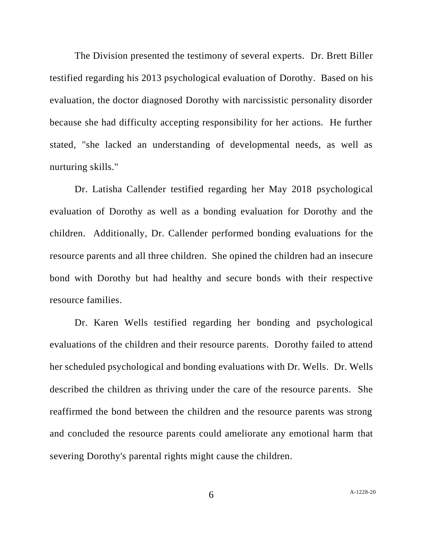The Division presented the testimony of several experts. Dr. Brett Biller testified regarding his 2013 psychological evaluation of Dorothy. Based on his evaluation, the doctor diagnosed Dorothy with narcissistic personality disorder because she had difficulty accepting responsibility for her actions. He further stated, "she lacked an understanding of developmental needs, as well as nurturing skills."

Dr. Latisha Callender testified regarding her May 2018 psychological evaluation of Dorothy as well as a bonding evaluation for Dorothy and the children. Additionally, Dr. Callender performed bonding evaluations for the resource parents and all three children. She opined the children had an insecure bond with Dorothy but had healthy and secure bonds with their respective resource families.

Dr. Karen Wells testified regarding her bonding and psychological evaluations of the children and their resource parents. Dorothy failed to attend her scheduled psychological and bonding evaluations with Dr. Wells. Dr. Wells described the children as thriving under the care of the resource parents. She reaffirmed the bond between the children and the resource parents was strong and concluded the resource parents could ameliorate any emotional harm that severing Dorothy's parental rights might cause the children.

6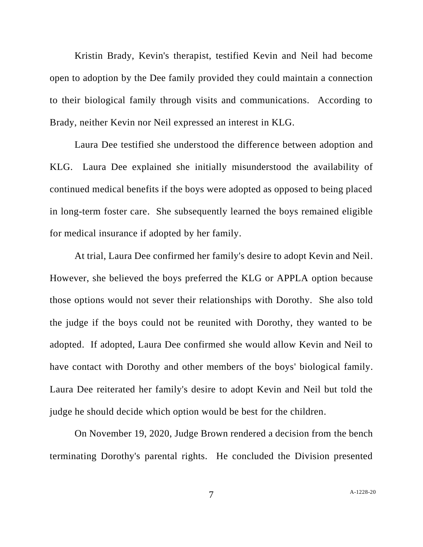Kristin Brady, Kevin's therapist, testified Kevin and Neil had become open to adoption by the Dee family provided they could maintain a connection to their biological family through visits and communications. According to Brady, neither Kevin nor Neil expressed an interest in KLG.

Laura Dee testified she understood the difference between adoption and KLG. Laura Dee explained she initially misunderstood the availability of continued medical benefits if the boys were adopted as opposed to being placed in long-term foster care. She subsequently learned the boys remained eligible for medical insurance if adopted by her family.

At trial, Laura Dee confirmed her family's desire to adopt Kevin and Neil. However, she believed the boys preferred the KLG or APPLA option because those options would not sever their relationships with Dorothy. She also told the judge if the boys could not be reunited with Dorothy, they wanted to be adopted. If adopted, Laura Dee confirmed she would allow Kevin and Neil to have contact with Dorothy and other members of the boys' biological family. Laura Dee reiterated her family's desire to adopt Kevin and Neil but told the judge he should decide which option would be best for the children.

On November 19, 2020, Judge Brown rendered a decision from the bench terminating Dorothy's parental rights. He concluded the Division presented

7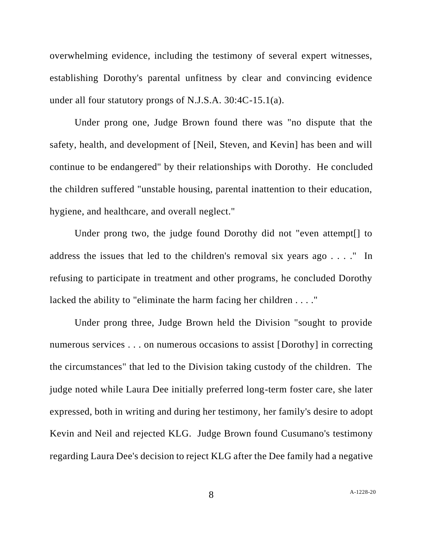overwhelming evidence, including the testimony of several expert witnesses, establishing Dorothy's parental unfitness by clear and convincing evidence under all four statutory prongs of N.J.S.A. 30:4C-15.1(a).

Under prong one, Judge Brown found there was "no dispute that the safety, health, and development of [Neil, Steven, and Kevin] has been and will continue to be endangered" by their relationships with Dorothy. He concluded the children suffered "unstable housing, parental inattention to their education, hygiene, and healthcare, and overall neglect."

Under prong two, the judge found Dorothy did not "even attempt[] to address the issues that led to the children's removal six years ago . . . ." In refusing to participate in treatment and other programs, he concluded Dorothy lacked the ability to "eliminate the harm facing her children . . . ."

Under prong three, Judge Brown held the Division "sought to provide numerous services . . . on numerous occasions to assist [Dorothy] in correcting the circumstances" that led to the Division taking custody of the children. The judge noted while Laura Dee initially preferred long-term foster care, she later expressed, both in writing and during her testimony, her family's desire to adopt Kevin and Neil and rejected KLG. Judge Brown found Cusumano's testimony regarding Laura Dee's decision to reject KLG after the Dee family had a negative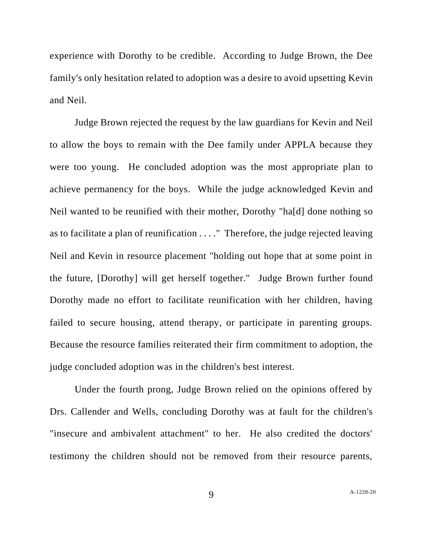experience with Dorothy to be credible. According to Judge Brown, the Dee family's only hesitation related to adoption was a desire to avoid upsetting Kevin and Neil.

Judge Brown rejected the request by the law guardians for Kevin and Neil to allow the boys to remain with the Dee family under APPLA because they were too young. He concluded adoption was the most appropriate plan to achieve permanency for the boys. While the judge acknowledged Kevin and Neil wanted to be reunified with their mother, Dorothy "ha[d] done nothing so as to facilitate a plan of reunification . . . ." Therefore, the judge rejected leaving Neil and Kevin in resource placement "holding out hope that at some point in the future, [Dorothy] will get herself together." Judge Brown further found Dorothy made no effort to facilitate reunification with her children, having failed to secure housing, attend therapy, or participate in parenting groups. Because the resource families reiterated their firm commitment to adoption, the judge concluded adoption was in the children's best interest.

Under the fourth prong, Judge Brown relied on the opinions offered by Drs. Callender and Wells, concluding Dorothy was at fault for the children's "insecure and ambivalent attachment" to her. He also credited the doctors' testimony the children should not be removed from their resource parents,

9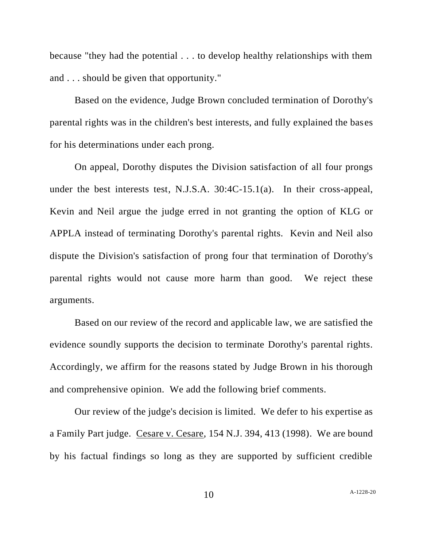because "they had the potential . . . to develop healthy relationships with them and . . . should be given that opportunity."

Based on the evidence, Judge Brown concluded termination of Dorothy's parental rights was in the children's best interests, and fully explained the bases for his determinations under each prong.

On appeal, Dorothy disputes the Division satisfaction of all four prongs under the best interests test, N.J.S.A. 30:4C-15.1(a). In their cross-appeal, Kevin and Neil argue the judge erred in not granting the option of KLG or APPLA instead of terminating Dorothy's parental rights. Kevin and Neil also dispute the Division's satisfaction of prong four that termination of Dorothy's parental rights would not cause more harm than good. We reject these arguments.

Based on our review of the record and applicable law, we are satisfied the evidence soundly supports the decision to terminate Dorothy's parental rights. Accordingly, we affirm for the reasons stated by Judge Brown in his thorough and comprehensive opinion. We add the following brief comments.

Our review of the judge's decision is limited. We defer to his expertise as a Family Part judge. Cesare v. Cesare, 154 N.J. 394, 413 (1998). We are bound by his factual findings so long as they are supported by sufficient credible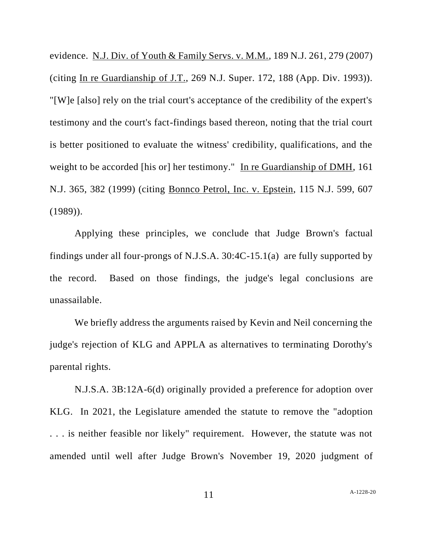evidence. N.J. Div. of Youth & Family Servs. v. M.M., 189 N.J. 261, 279 (2007) (citing In re Guardianship of J.T., 269 N.J. Super. 172, 188 (App. Div. 1993)). "[W]e [also] rely on the trial court's acceptance of the credibility of the expert's testimony and the court's fact-findings based thereon, noting that the trial court is better positioned to evaluate the witness' credibility, qualifications, and the weight to be accorded [his or] her testimony." In re Guardianship of DMH, 161 N.J. 365, 382 (1999) (citing Bonnco Petrol, Inc. v. Epstein, 115 N.J. 599, 607 (1989)).

Applying these principles, we conclude that Judge Brown's factual findings under all four-prongs of N.J.S.A. 30:4C-15.1(a) are fully supported by the record. Based on those findings, the judge's legal conclusions are unassailable.

We briefly address the arguments raised by Kevin and Neil concerning the judge's rejection of KLG and APPLA as alternatives to terminating Dorothy's parental rights.

N.J.S.A. 3B:12A-6(d) originally provided a preference for adoption over KLG. In 2021, the Legislature amended the statute to remove the "adoption . . . is neither feasible nor likely" requirement. However, the statute was not amended until well after Judge Brown's November 19, 2020 judgment of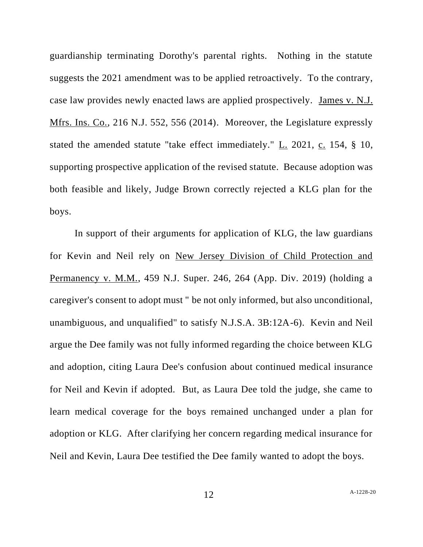guardianship terminating Dorothy's parental rights. Nothing in the statute suggests the 2021 amendment was to be applied retroactively. To the contrary, case law provides newly enacted laws are applied prospectively. James v. N.J. Mfrs. Ins. Co., 216 N.J. 552, 556 (2014). Moreover, the Legislature expressly stated the amended statute "take effect immediately." L. 2021, c. 154, § 10, supporting prospective application of the revised statute. Because adoption was both feasible and likely, Judge Brown correctly rejected a KLG plan for the boys.

In support of their arguments for application of KLG, the law guardians for Kevin and Neil rely on New Jersey Division of Child Protection and Permanency v. M.M., 459 N.J. Super. 246, 264 (App. Div. 2019) (holding a caregiver's consent to adopt must " be not only informed, but also unconditional, unambiguous, and unqualified" to satisfy N.J.S.A. 3B:12A-6). Kevin and Neil argue the Dee family was not fully informed regarding the choice between KLG and adoption, citing Laura Dee's confusion about continued medical insurance for Neil and Kevin if adopted. But, as Laura Dee told the judge, she came to learn medical coverage for the boys remained unchanged under a plan for adoption or KLG. After clarifying her concern regarding medical insurance for Neil and Kevin, Laura Dee testified the Dee family wanted to adopt the boys.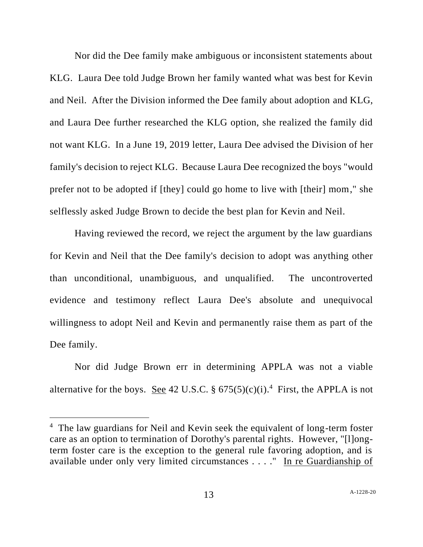Nor did the Dee family make ambiguous or inconsistent statements about KLG. Laura Dee told Judge Brown her family wanted what was best for Kevin and Neil. After the Division informed the Dee family about adoption and KLG, and Laura Dee further researched the KLG option, she realized the family did not want KLG. In a June 19, 2019 letter, Laura Dee advised the Division of her family's decision to reject KLG. Because Laura Dee recognized the boys "would prefer not to be adopted if [they] could go home to live with [their] mom," she selflessly asked Judge Brown to decide the best plan for Kevin and Neil.

Having reviewed the record, we reject the argument by the law guardians for Kevin and Neil that the Dee family's decision to adopt was anything other than unconditional, unambiguous, and unqualified. The uncontroverted evidence and testimony reflect Laura Dee's absolute and unequivocal willingness to adopt Neil and Kevin and permanently raise them as part of the Dee family.

Nor did Judge Brown err in determining APPLA was not a viable alternative for the boys. <u>See</u> 42 U.S.C. §  $675(5)(c)(i)$ .<sup>4</sup> First, the APPLA is not

<sup>&</sup>lt;sup>4</sup> The law guardians for Neil and Kevin seek the equivalent of long-term foster care as an option to termination of Dorothy's parental rights. However, "[l]ongterm foster care is the exception to the general rule favoring adoption, and is available under only very limited circumstances . . . ." In re Guardianship of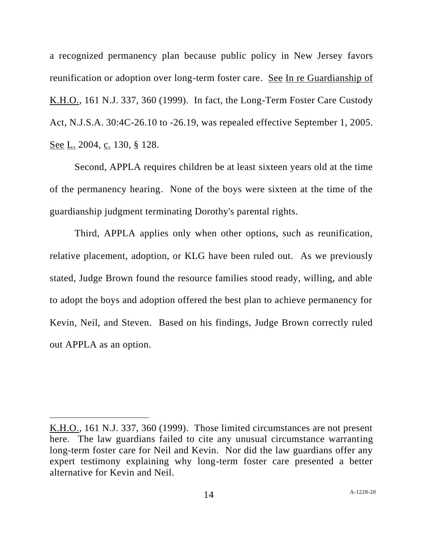a recognized permanency plan because public policy in New Jersey favors reunification or adoption over long-term foster care. See In re Guardianship of K.H.O., 161 N.J. 337, 360 (1999). In fact, the Long-Term Foster Care Custody Act, N.J.S.A. 30:4C-26.10 to -26.19, was repealed effective September 1, 2005. See L. 2004, c. 130, § 128.

Second, APPLA requires children be at least sixteen years old at the time of the permanency hearing. None of the boys were sixteen at the time of the guardianship judgment terminating Dorothy's parental rights.

Third, APPLA applies only when other options, such as reunification, relative placement, adoption, or KLG have been ruled out. As we previously stated, Judge Brown found the resource families stood ready, willing, and able to adopt the boys and adoption offered the best plan to achieve permanency for Kevin, Neil, and Steven. Based on his findings, Judge Brown correctly ruled out APPLA as an option.

K.H.O., 161 N.J. 337, 360 (1999). Those limited circumstances are not present here. The law guardians failed to cite any unusual circumstance warranting long-term foster care for Neil and Kevin. Nor did the law guardians offer any expert testimony explaining why long-term foster care presented a better alternative for Kevin and Neil.